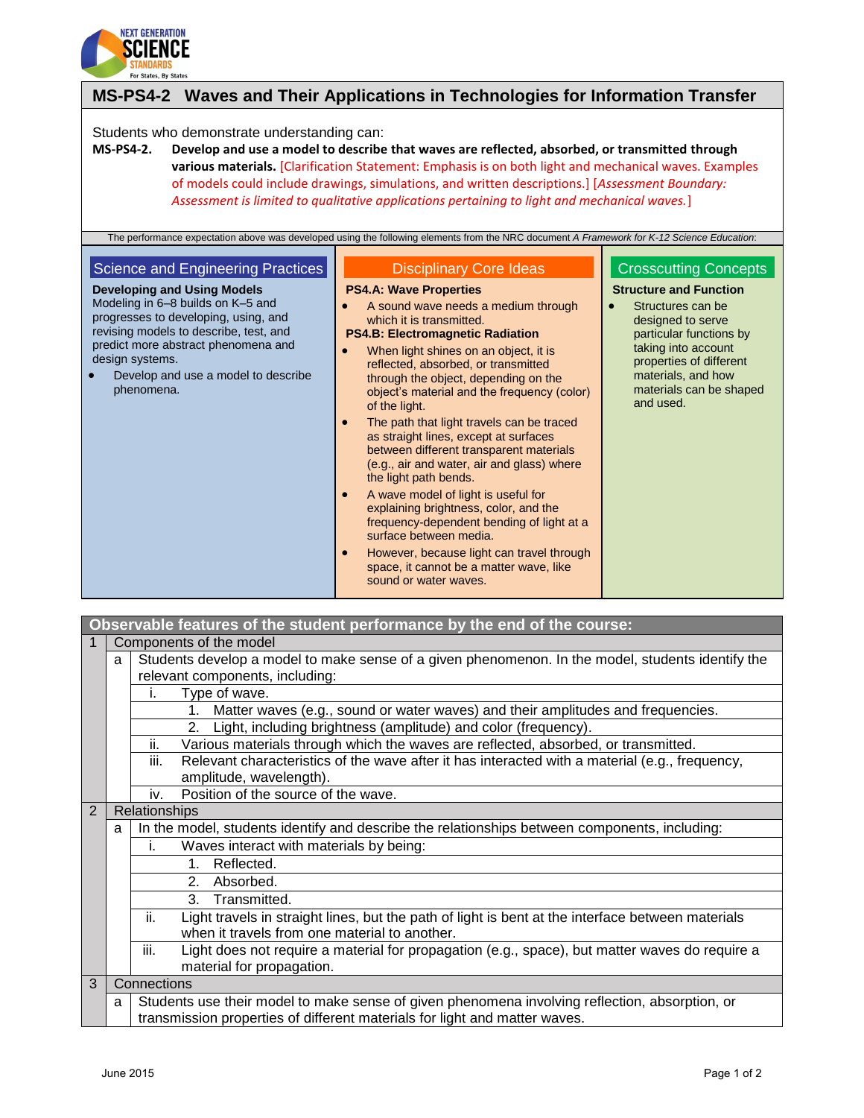

| MS-PS4-2 Waves and Their Applications in Technologies for Information Transfer                                                                                                                                                                                                                                |                                                                                                                                                                                                                                                                                                                                                                                                                                                                                                                                                                                                                                                                                                                                                                                                                                                                                              |                                                                                                                                                                                                                                                    |  |
|---------------------------------------------------------------------------------------------------------------------------------------------------------------------------------------------------------------------------------------------------------------------------------------------------------------|----------------------------------------------------------------------------------------------------------------------------------------------------------------------------------------------------------------------------------------------------------------------------------------------------------------------------------------------------------------------------------------------------------------------------------------------------------------------------------------------------------------------------------------------------------------------------------------------------------------------------------------------------------------------------------------------------------------------------------------------------------------------------------------------------------------------------------------------------------------------------------------------|----------------------------------------------------------------------------------------------------------------------------------------------------------------------------------------------------------------------------------------------------|--|
| Students who demonstrate understanding can:<br><b>MS-PS4-2.</b>                                                                                                                                                                                                                                               | Develop and use a model to describe that waves are reflected, absorbed, or transmitted through<br>various materials. [Clarification Statement: Emphasis is on both light and mechanical waves. Examples<br>of models could include drawings, simulations, and written descriptions.] [Assessment Boundary:<br>Assessment is limited to qualitative applications pertaining to light and mechanical waves.]<br>The performance expectation above was developed using the following elements from the NRC document A Framework for K-12 Science Education:                                                                                                                                                                                                                                                                                                                                     |                                                                                                                                                                                                                                                    |  |
| Science and Engineering Practices<br><b>Developing and Using Models</b><br>Modeling in 6-8 builds on K-5 and<br>progresses to developing, using, and<br>revising models to describe, test, and<br>predict more abstract phenomena and<br>design systems.<br>Develop and use a model to describe<br>phenomena. | <b>Disciplinary Core Ideas</b><br><b>PS4.A: Wave Properties</b><br>A sound wave needs a medium through<br>which it is transmitted.<br><b>PS4.B: Electromagnetic Radiation</b><br>When light shines on an object, it is<br>$\bullet$<br>reflected, absorbed, or transmitted<br>through the object, depending on the<br>object's material and the frequency (color)<br>of the light.<br>The path that light travels can be traced<br>as straight lines, except at surfaces<br>between different transparent materials<br>(e.g., air and water, air and glass) where<br>the light path bends.<br>A wave model of light is useful for<br>$\bullet$<br>explaining brightness, color, and the<br>frequency-dependent bending of light at a<br>surface between media.<br>However, because light can travel through<br>$\bullet$<br>space, it cannot be a matter wave, like<br>sound or water waves. | <b>Crosscutting Concepts</b><br><b>Structure and Function</b><br>Structures can be<br>designed to serve<br>particular functions by<br>taking into account<br>properties of different<br>materials, and how<br>materials can be shaped<br>and used. |  |

|                | Observable features of the student performance by the end of the course:                                                                                                          |                                                                                                                                                           |  |  |
|----------------|-----------------------------------------------------------------------------------------------------------------------------------------------------------------------------------|-----------------------------------------------------------------------------------------------------------------------------------------------------------|--|--|
| 1              | Components of the model                                                                                                                                                           |                                                                                                                                                           |  |  |
|                | Students develop a model to make sense of a given phenomenon. In the model, students identify the<br>a<br>relevant components, including:                                         |                                                                                                                                                           |  |  |
|                |                                                                                                                                                                                   | Type of wave.<br>Ĺ.                                                                                                                                       |  |  |
|                |                                                                                                                                                                                   | Matter waves (e.g., sound or water waves) and their amplitudes and frequencies.<br>1.                                                                     |  |  |
|                | Light, including brightness (amplitude) and color (frequency).<br>2.                                                                                                              |                                                                                                                                                           |  |  |
|                | Various materials through which the waves are reflected, absorbed, or transmitted.<br>ii.                                                                                         |                                                                                                                                                           |  |  |
|                |                                                                                                                                                                                   | Relevant characteristics of the wave after it has interacted with a material (e.g., frequency,<br>iii.<br>amplitude, wavelength).                         |  |  |
|                |                                                                                                                                                                                   | Position of the source of the wave.<br>iv.                                                                                                                |  |  |
| $\overline{2}$ | Relationships                                                                                                                                                                     |                                                                                                                                                           |  |  |
|                | In the model, students identify and describe the relationships between components, including:<br>a                                                                                |                                                                                                                                                           |  |  |
|                | Waves interact with materials by being:<br>İ.                                                                                                                                     |                                                                                                                                                           |  |  |
|                | Reflected.<br>1.                                                                                                                                                                  |                                                                                                                                                           |  |  |
|                | 2. Absorbed.                                                                                                                                                                      |                                                                                                                                                           |  |  |
|                | 3. Transmitted.                                                                                                                                                                   |                                                                                                                                                           |  |  |
|                |                                                                                                                                                                                   | ii.<br>Light travels in straight lines, but the path of light is bent at the interface between materials<br>when it travels from one material to another. |  |  |
|                |                                                                                                                                                                                   | iii.<br>Light does not require a material for propagation (e.g., space), but matter waves do require a<br>material for propagation.                       |  |  |
| 3              | Connections                                                                                                                                                                       |                                                                                                                                                           |  |  |
|                | Students use their model to make sense of given phenomena involving reflection, absorption, or<br>a<br>transmission properties of different materials for light and matter waves. |                                                                                                                                                           |  |  |

 $\blacksquare$